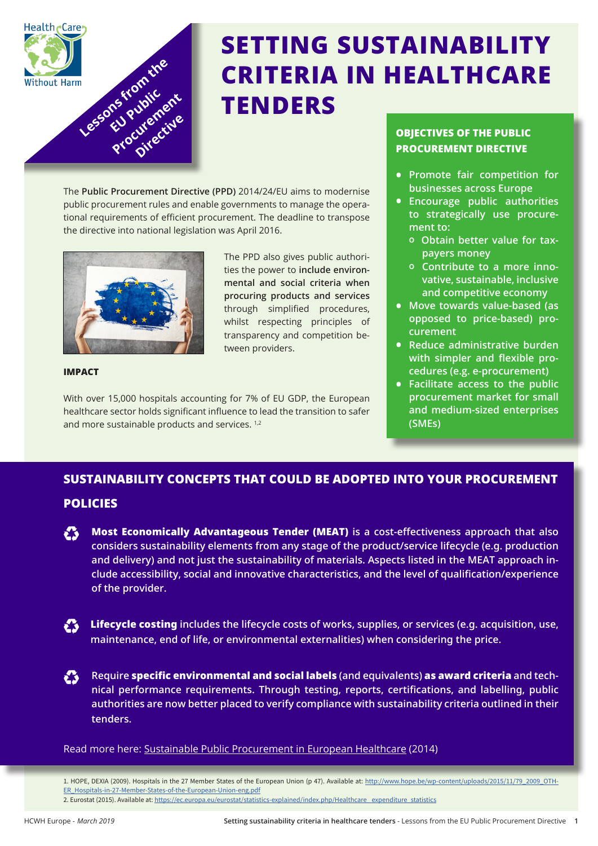

# **SETTING SUSTAINABILITY CRITERIA IN HEALTHCARE TENDERS**

The **Public Procurement Directive (PPD)** 2014/24/EU aims to modernise public procurement rules and enable governments to manage the operational requirements of efficient procurement. The deadline to transpose the directive into national legislation was April 2016.



The PPD also gives public authorities the power to **include environmental and social criteria when procuring products and services**  through simplified procedures, whilst respecting principles of transparency and competition between providers.

#### **IMPACT**

With over 15,000 hospitals accounting for 7% of EU GDP, the European healthcare sector holds significant influence to lead the transition to safer and more sustainable products and services.<sup>1,2</sup>

## **OBJECTIVES OF THE PUBLIC PROCUREMENT DIRECTIVE**

- **• Promote fair competition for businesses across Europe**
- **• Encourage public authorities to strategically use procurement to:**
	- **o Obtain better value for taxpayers money**
	- **o Contribute to a more innovative, sustainable, inclusive and competitive economy**
- **• Move towards value-based (as opposed to price-based) procurement**
- **• Reduce administrative burden with simpler and flexible procedures (e.g. e-procurement)**
- **• Facilitate access to the public procurement market for small and medium-sized enterprises (SMEs)**

# **SUSTAINABILITY CONCEPTS THAT COULD BE ADOPTED INTO YOUR PROCUREMENT**

# **POLICIES**

- **Most Economically Advantageous Tender (MEAT)** is a cost-effectiveness approach that also **considers sustainability elements from any stage of the product/service lifecycle (e.g. production and delivery) and not just the sustainability of materials. Aspects listed in the MEAT approach include accessibility, social and innovative characteristics, and the level of qualification/experience of the provider.**
- Lifecycle costing includes the lifecycle costs of works, supplies, or services (e.g. acquisition, use, **maintenance, end of life, or environmental externalities) when considering the price.**
- K **Require specific environmental and social labels (and equivalents) as award criteria and technical performance requirements. Through testing, reports, certifications, and labelling, public authorities are now better placed to verify compliance with sustainability criteria outlined in their tenders.**

Readmore here: <u>Sustainable Public Procurement in European Healthcare</u> (2014)

- 1. HOPE, DEXIA (2009). Hospitals in the 27 Member States of the European Union (p 47). Available at: [http://www.hope.be/wp-content/uploads/2015/11/79\\_2009\\_OTH-](http://www.hope.be/wp-content/uploads/2015/11/79_2009_OTHER_Hospitals-in-27-Member-States-of-the-European-Union-eng.pdf)[ER\\_Hospitals-in-27-Member-States-of-the-European-Union-eng.pdf](http://www.hope.be/wp-content/uploads/2015/11/79_2009_OTHER_Hospitals-in-27-Member-States-of-the-European-Union-eng.pdf)
- 2. Eurostat (2015). Available at: [https://ec.europa.eu/eurostat/statistics-explained/index.php/Healthcare\\_ expenditure\\_statistics](https://ec.europa.eu/eurostat/statistics-explained/index.php/Healthcare_ expenditure_statistics)